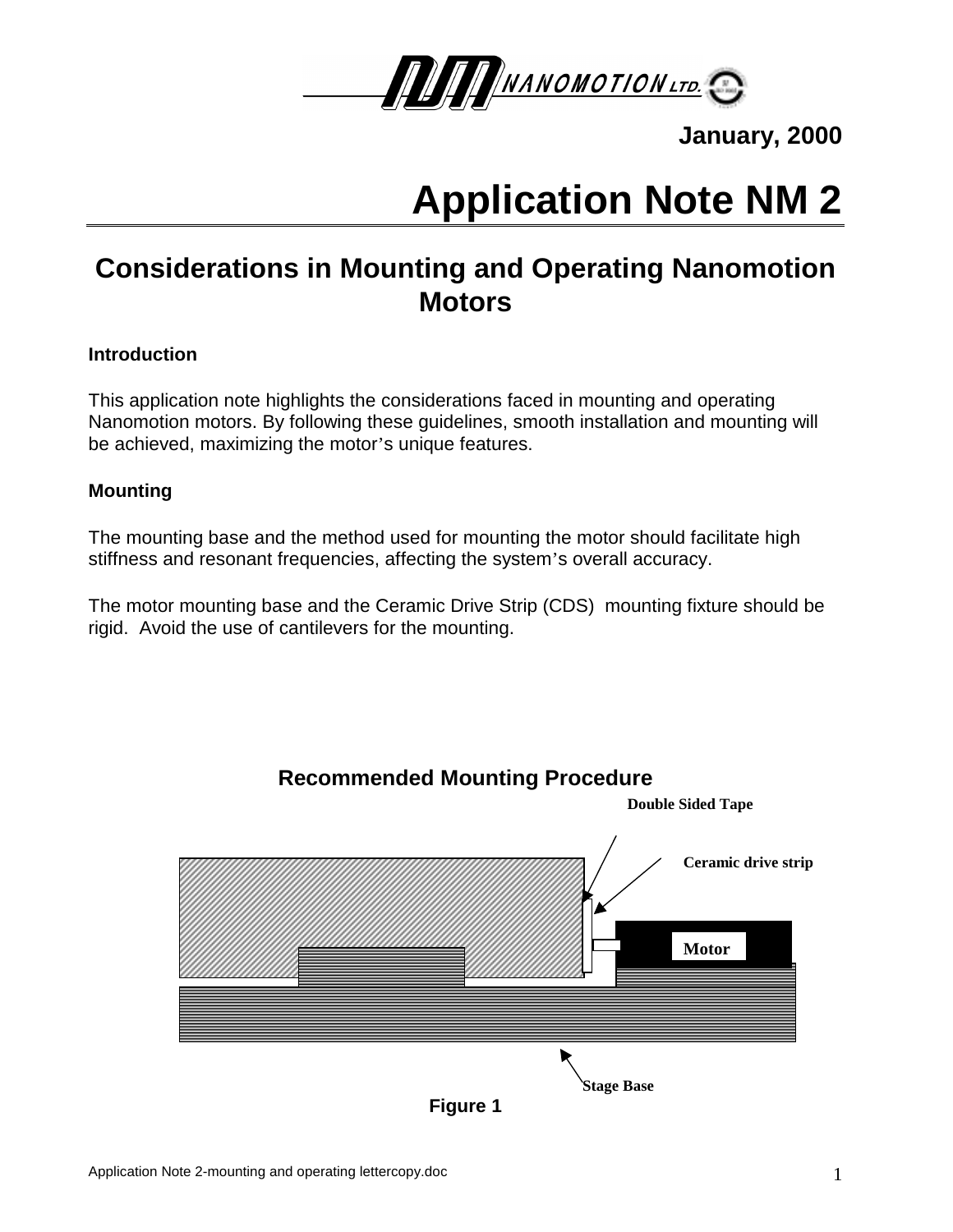

**January, 2000**

# **Application Note NM 2**

## **Considerations in Mounting and Operating Nanomotion Motors**

## **Introduction**

This application note highlights the considerations faced in mounting and operating Nanomotion motors. By following these guidelines, smooth installation and mounting will be achieved, maximizing the motor's unique features.

## **Mounting**

The mounting base and the method used for mounting the motor should facilitate high stiffness and resonant frequencies, affecting the system's overall accuracy.

The motor mounting base and the Ceramic Drive Strip (CDS) mounting fixture should be rigid. Avoid the use of cantilevers for the mounting.

**Recommended Mounting Procedure**



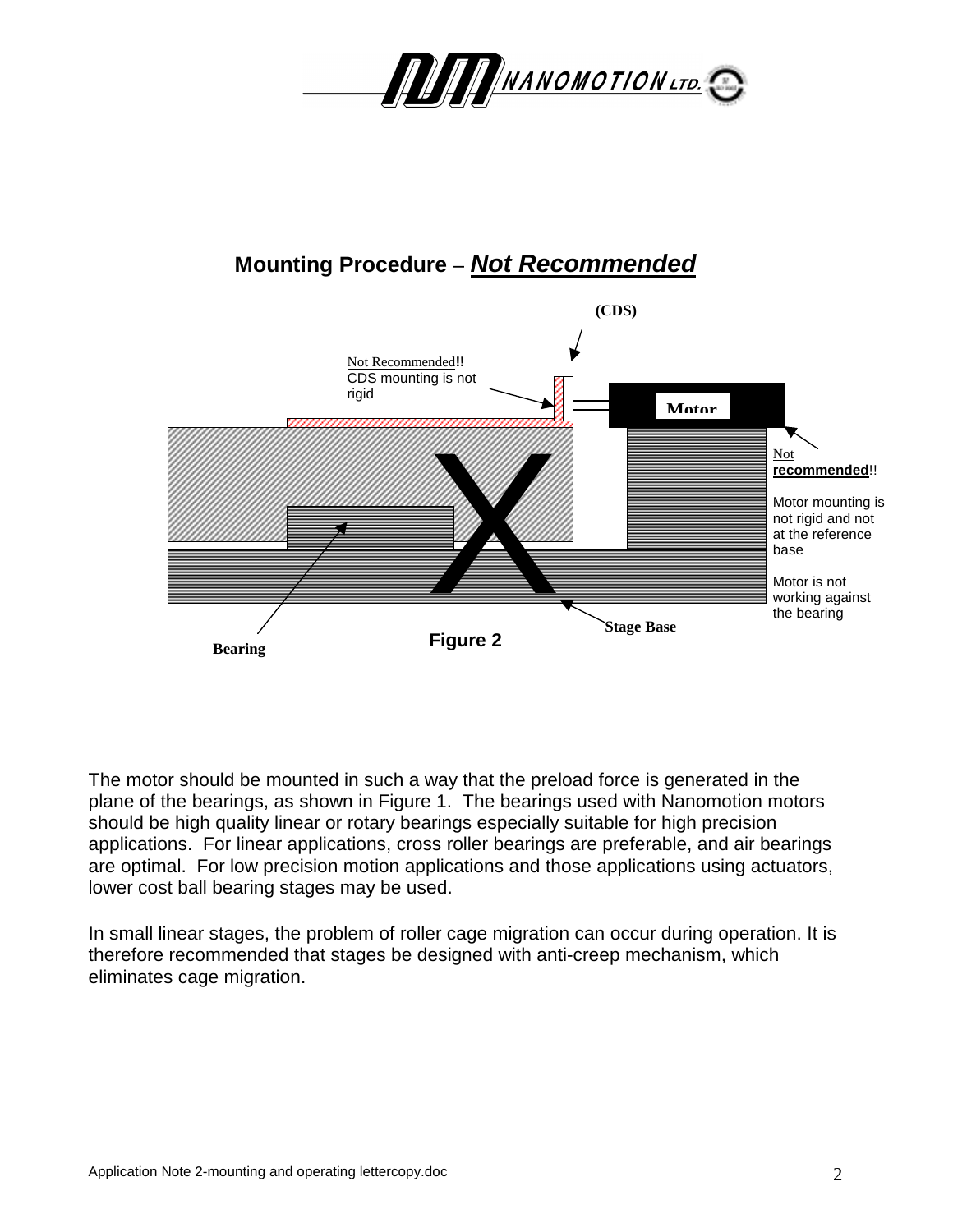

## **Mounting Procedure –** *Not Recommended*



The motor should be mounted in such a way that the preload force is generated in the plane of the bearings, as shown in Figure 1. The bearings used with Nanomotion motors should be high quality linear or rotary bearings especially suitable for high precision applications. For linear applications, cross roller bearings are preferable, and air bearings are optimal. For low precision motion applications and those applications using actuators, lower cost ball bearing stages may be used.

In small linear stages, the problem of roller cage migration can occur during operation. It is therefore recommended that stages be designed with anti-creep mechanism, which eliminates cage migration.